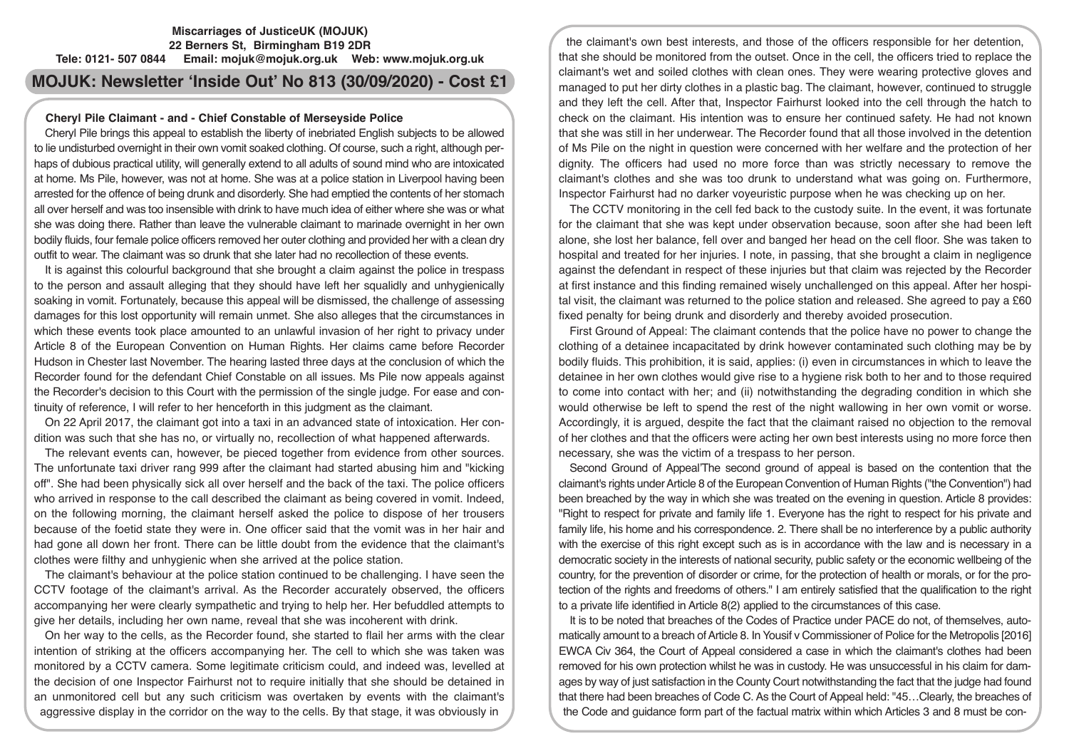# **Miscarriages of JusticeUK (MOJUK) 22 Berners St, Birmingham B19 2DR Tele: 0121- 507 0844 Email: mojuk@mojuk.org.uk Web: www.mojuk.org.uk**

# **MOJUK: Newsletter 'Inside Out' No 813 (30/09/2020) - Cost £1**

### **Cheryl Pile Claimant - and - Chief Constable of Merseyside Police**

Cheryl Pile brings this appeal to establish the liberty of inebriated English subjects to be allowed to lie undisturbed overnight in their own vomit soaked clothing. Of course, such a right, although perhaps of dubious practical utility, will generally extend to all adults of sound mind who are intoxicated at home. Ms Pile, however, was not at home. She was at a police station in Liverpool having been arrested for the offence of being drunk and disorderly. She had emptied the contents of her stomach all over herself and was too insensible with drink to have much idea of either where she was or what she was doing there. Rather than leave the vulnerable claimant to marinade overnight in her own bodily fluids, four female police officers removed her outer clothing and provided her with a clean dry outfit to wear. The claimant was so drunk that she later had no recollection of these events.

It is against this colourful background that she brought a claim against the police in trespass to the person and assault alleging that they should have left her squalidly and unhygienically soaking in vomit. Fortunately, because this appeal will be dismissed, the challenge of assessing damages for this lost opportunity will remain unmet. She also alleges that the circumstances in which these events took place amounted to an unlawful invasion of her right to privacy under Article 8 of the European Convention on Human Rights. Her claims came before Recorder Hudson in Chester last November. The hearing lasted three days at the conclusion of which the Recorder found for the defendant Chief Constable on all issues. Ms Pile now appeals against the Recorder's decision to this Court with the permission of the single judge. For ease and continuity of reference, I will refer to her henceforth in this judgment as the claimant.

On 22 April 2017, the claimant got into a taxi in an advanced state of intoxication. Her condition was such that she has no, or virtually no, recollection of what happened afterwards.

The relevant events can, however, be pieced together from evidence from other sources. The unfortunate taxi driver rang 999 after the claimant had started abusing him and "kicking off". She had been physically sick all over herself and the back of the taxi. The police officers who arrived in response to the call described the claimant as being covered in vomit. Indeed, on the following morning, the claimant herself asked the police to dispose of her trousers because of the foetid state they were in. One officer said that the vomit was in her hair and had gone all down her front. There can be little doubt from the evidence that the claimant's clothes were filthy and unhygienic when she arrived at the police station.

The claimant's behaviour at the police station continued to be challenging. I have seen the CCTV footage of the claimant's arrival. As the Recorder accurately observed, the officers accompanying her were clearly sympathetic and trying to help her. Her befuddled attempts to give her details, including her own name, reveal that she was incoherent with drink.

On her way to the cells, as the Recorder found, she started to flail her arms with the clear intention of striking at the officers accompanying her. The cell to which she was taken was monitored by a CCTV camera. Some legitimate criticism could, and indeed was, levelled at the decision of one Inspector Fairhurst not to require initially that she should be detained in an unmonitored cell but any such criticism was overtaken by events with the claimant's aggressive display in the corridor on the way to the cells. By that stage, it was obviously in

the claimant's own best interests, and those of the officers responsible for her detention, that she should be monitored from the outset. Once in the cell, the officers tried to replace the claimant's wet and soiled clothes with clean ones. They were wearing protective gloves and managed to put her dirty clothes in a plastic bag. The claimant, however, continued to struggle and they left the cell. After that, Inspector Fairhurst looked into the cell through the hatch to check on the claimant. His intention was to ensure her continued safety. He had not known that she was still in her underwear. The Recorder found that all those involved in the detention of Ms Pile on the night in question were concerned with her welfare and the protection of her dignity. The officers had used no more force than was strictly necessary to remove the claimant's clothes and she was too drunk to understand what was going on. Furthermore, Inspector Fairhurst had no darker voyeuristic purpose when he was checking up on her.

The CCTV monitoring in the cell fed back to the custody suite. In the event, it was fortunate for the claimant that she was kept under observation because, soon after she had been left alone, she lost her balance, fell over and banged her head on the cell floor. She was taken to hospital and treated for her injuries. I note, in passing, that she brought a claim in negligence against the defendant in respect of these injuries but that claim was rejected by the Recorder at first instance and this finding remained wisely unchallenged on this appeal. After her hospital visit, the claimant was returned to the police station and released. She agreed to pay a £60 fixed penalty for being drunk and disorderly and thereby avoided prosecution.

First Ground of Appeal: The claimant contends that the police have no power to change the clothing of a detainee incapacitated by drink however contaminated such clothing may be by bodily fluids. This prohibition, it is said, applies: (i) even in circumstances in which to leave the detainee in her own clothes would give rise to a hygiene risk both to her and to those required to come into contact with her; and (ii) notwithstanding the degrading condition in which she would otherwise be left to spend the rest of the night wallowing in her own vomit or worse. Accordingly, it is argued, despite the fact that the claimant raised no objection to the removal of her clothes and that the officers were acting her own best interests using no more force then necessary, she was the victim of a trespass to her person.

Second Ground of Appeal'The second ground of appeal is based on the contention that the claimant's rights under Article 8 of the European Convention of Human Rights ("the Convention") had been breached by the way in which she was treated on the evening in question. Article 8 provides: "Right to respect for private and family life 1. Everyone has the right to respect for his private and family life, his home and his correspondence. 2. There shall be no interference by a public authority with the exercise of this right except such as is in accordance with the law and is necessary in a democratic society in the interests of national security, public safety or the economic wellbeing of the country, for the prevention of disorder or crime, for the protection of health or morals, or for the protection of the rights and freedoms of others." I am entirely satisfied that the qualification to the right to a private life identified in Article 8(2) applied to the circumstances of this case.

It is to be noted that breaches of the Codes of Practice under PACE do not, of themselves, automatically amount to a breach of Article 8. In Yousif v Commissioner of Police for the Metropolis [2016] EWCA Civ 364, the Court of Appeal considered a case in which the claimant's clothes had been removed for his own protection whilst he was in custody. He was unsuccessful in his claim for damages by way of just satisfaction in the County Court notwithstanding the fact that the judge had found that there had been breaches of Code C. As the Court of Appeal held: "45…Clearly, the breaches of the Code and guidance form part of the factual matrix within which Articles 3 and 8 must be con-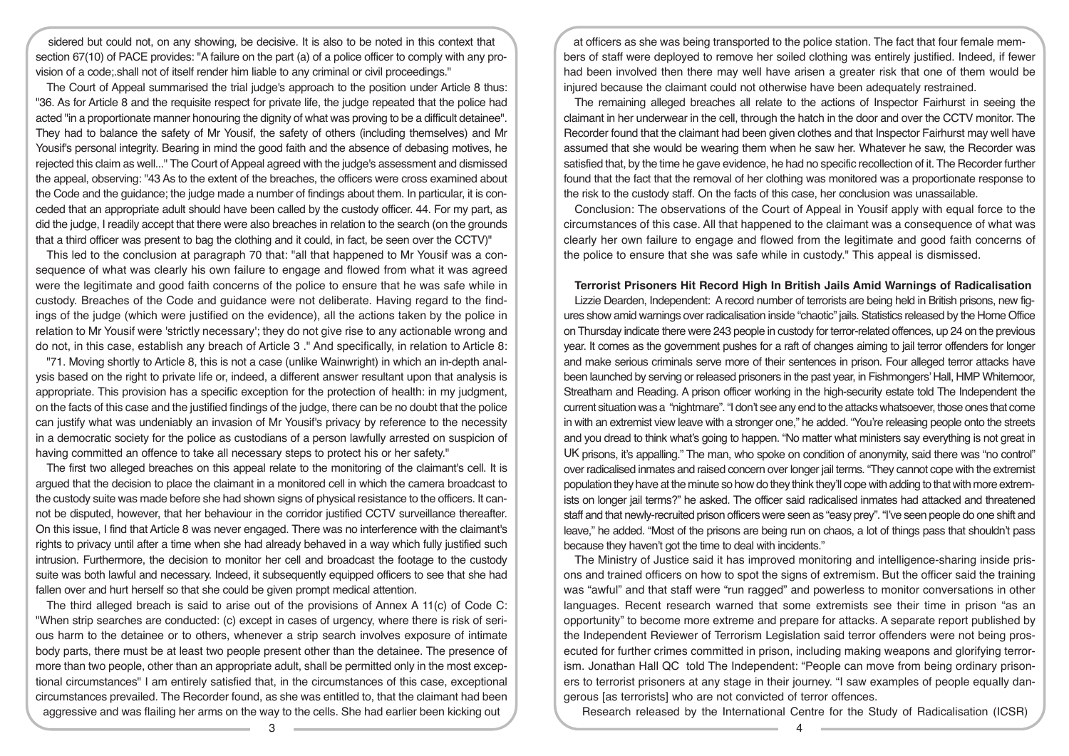sidered but could not, on any showing, be decisive. It is also to be noted in this context that section 67(10) of PACE provides: "A failure on the part (a) of a police officer to comply with any provision of a code;.shall not of itself render him liable to any criminal or civil proceedings."

The Court of Appeal summarised the trial judge's approach to the position under Article 8 thus: "36. As for Article 8 and the requisite respect for private life, the judge repeated that the police had acted "in a proportionate manner honouring the dignity of what was proving to be a difficult detainee". They had to balance the safety of Mr Yousif, the safety of others (including themselves) and Mr Yousif's personal integrity. Bearing in mind the good faith and the absence of debasing motives, he rejected this claim as well..." The Court of Appeal agreed with the judge's assessment and dismissed the appeal, observing: "43 As to the extent of the breaches, the officers were cross examined about the Code and the guidance; the judge made a number of findings about them. In particular, it is conceded that an appropriate adult should have been called by the custody officer. 44. For my part, as did the judge, I readily accept that there were also breaches in relation to the search (on the grounds that a third officer was present to bag the clothing and it could, in fact, be seen over the CCTV)"

This led to the conclusion at paragraph 70 that: "all that happened to Mr Yousif was a consequence of what was clearly his own failure to engage and flowed from what it was agreed were the legitimate and good faith concerns of the police to ensure that he was safe while in custody. Breaches of the Code and guidance were not deliberate. Having regard to the findings of the judge (which were justified on the evidence), all the actions taken by the police in relation to Mr Yousif were 'strictly necessary'; they do not give rise to any actionable wrong and do not, in this case, establish any breach of Article 3 ." And specifically, in relation to Article 8:

"71. Moving shortly to Article 8, this is not a case (unlike Wainwright) in which an in-depth analysis based on the right to private life or, indeed, a different answer resultant upon that analysis is appropriate. This provision has a specific exception for the protection of health: in my judgment, on the facts of this case and the justified findings of the judge, there can be no doubt that the police can justify what was undeniably an invasion of Mr Yousif's privacy by reference to the necessity in a democratic society for the police as custodians of a person lawfully arrested on suspicion of having committed an offence to take all necessary steps to protect his or her safety."

The first two alleged breaches on this appeal relate to the monitoring of the claimant's cell. It is argued that the decision to place the claimant in a monitored cell in which the camera broadcast to the custody suite was made before she had shown signs of physical resistance to the officers. It cannot be disputed, however, that her behaviour in the corridor justified CCTV surveillance thereafter. On this issue, I find that Article 8 was never engaged. There was no interference with the claimant's rights to privacy until after a time when she had already behaved in a way which fully justified such intrusion. Furthermore, the decision to monitor her cell and broadcast the footage to the custody suite was both lawful and necessary. Indeed, it subsequently equipped officers to see that she had fallen over and hurt herself so that she could be given prompt medical attention.

The third alleged breach is said to arise out of the provisions of Annex A 11(c) of Code C: "When strip searches are conducted: (c) except in cases of urgency, where there is risk of serious harm to the detainee or to others, whenever a strip search involves exposure of intimate body parts, there must be at least two people present other than the detainee. The presence of more than two people, other than an appropriate adult, shall be permitted only in the most exceptional circumstances" I am entirely satisfied that, in the circumstances of this case, exceptional circumstances prevailed. The Recorder found, as she was entitled to, that the claimant had been aggressive and was flailing her arms on the way to the cells. She had earlier been kicking out

at officers as she was being transported to the police station. The fact that four female members of staff were deployed to remove her soiled clothing was entirely justified. Indeed, if fewer had been involved then there may well have arisen a greater risk that one of them would be injured because the claimant could not otherwise have been adequately restrained.

The remaining alleged breaches all relate to the actions of Inspector Fairhurst in seeing the claimant in her underwear in the cell, through the hatch in the door and over the CCTV monitor. The Recorder found that the claimant had been given clothes and that Inspector Fairhurst may well have assumed that she would be wearing them when he saw her. Whatever he saw, the Recorder was satisfied that, by the time he gave evidence, he had no specific recollection of it. The Recorder further found that the fact that the removal of her clothing was monitored was a proportionate response to the risk to the custody staff. On the facts of this case, her conclusion was unassailable.

Conclusion: The observations of the Court of Appeal in Yousif apply with equal force to the circumstances of this case. All that happened to the claimant was a consequence of what was clearly her own failure to engage and flowed from the legitimate and good faith concerns of the police to ensure that she was safe while in custody." This appeal is dismissed.

#### **Terrorist Prisoners Hit Record High In British Jails Amid Warnings of Radicalisation**

Lizzie Dearden, Independent: A record number of terrorists are being held in British prisons, new figures show amid warnings over radicalisation inside "chaotic" jails. Statistics released by the Home Office on Thursday indicate there were 243 people in custody for terror-related offences, up 24 on the previous year. It comes as the government pushes for a raft of changes aiming to jail terror offenders for longer and make serious criminals serve more of their sentences in prison. Four alleged terror attacks have been launched by serving or released prisoners in the past year, in Fishmongers' Hall, HMP Whitemoor, Streatham and Reading. A prison officer working in the high-security estate told The Independent the current situation was a "nightmare". "I don't see any end to the attacks whatsoever, those ones that come in with an extremist view leave with a stronger one," he added. "You're releasing people onto the streets and you dread to think what's going to happen. "No matter what ministers say everything is not great in UK prisons, it's appalling." The man, who spoke on condition of anonymity, said there was "no control" over radicalised inmates and raised concern over longer jail terms. "They cannot cope with the extremist population they have at the minute so how do they think they'll cope with adding to that with more extremists on longer jail terms?" he asked. The officer said radicalised inmates had attacked and threatened staff and that newly-recruited prison officers were seen as "easy prey". "I've seen people do one shift and leave," he added. "Most of the prisons are being run on chaos, a lot of things pass that shouldn't pass because they haven't got the time to deal with incidents."

The Ministry of Justice said it has improved monitoring and intelligence-sharing inside prisons and trained officers on how to spot the signs of extremism. But the officer said the training was "awful" and that staff were "run ragged" and powerless to monitor conversations in other languages. Recent research warned that some extremists see their time in prison "as an opportunity" to become more extreme and prepare for attacks. A separate report published by the Independent Reviewer of Terrorism Legislation said terror offenders were not being prosecuted for further crimes committed in prison, including making weapons and glorifying terrorism. Jonathan Hall QC told The Independent: "People can move from being ordinary prisoners to terrorist prisoners at any stage in their journey. "I saw examples of people equally dangerous [as terrorists] who are not convicted of terror offences.

Research released by the International Centre for the Study of Radicalisation (ICSR)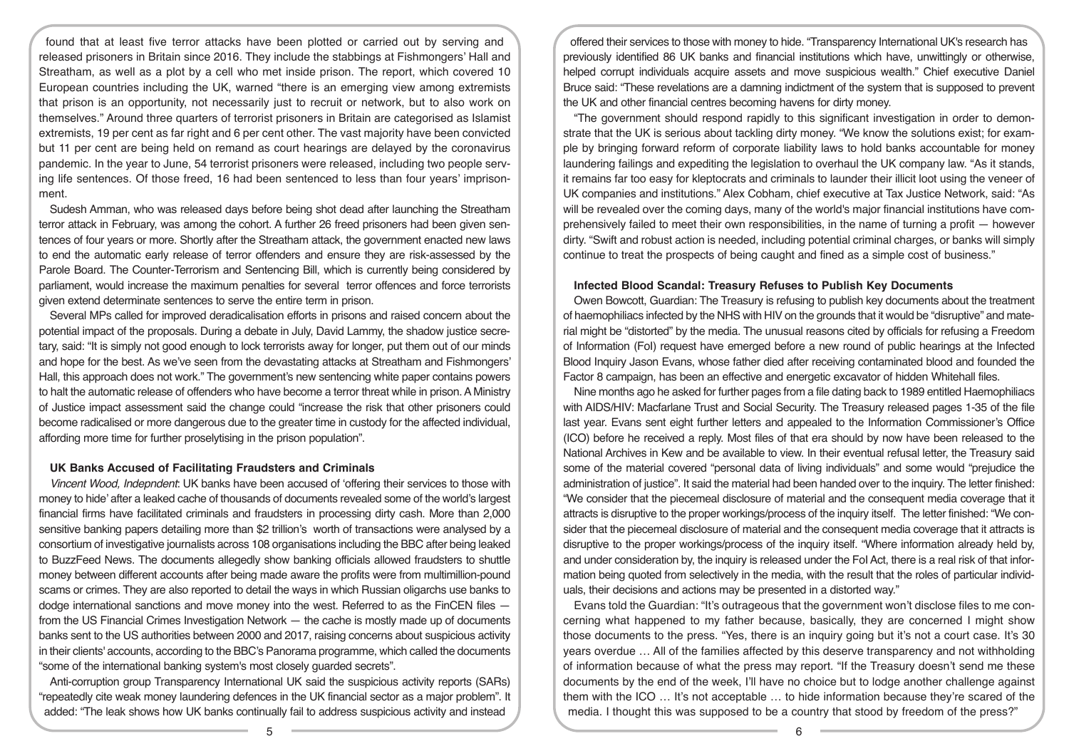found that at least five terror attacks have been plotted or carried out by serving and released prisoners in Britain since 2016. They include the stabbings at Fishmongers' Hall and Streatham, as well as a plot by a cell who met inside prison. The report, which covered 10 European countries including the UK, warned "there is an emerging view among extremists that prison is an opportunity, not necessarily just to recruit or network, but to also work on themselves." Around three quarters of terrorist prisoners in Britain are categorised as Islamist extremists, 19 per cent as far right and 6 per cent other. The vast majority have been convicted but 11 per cent are being held on remand as court hearings are delayed by the coronavirus pandemic. In the year to June, 54 terrorist prisoners were released, including two people serving life sentences. Of those freed, 16 had been sentenced to less than four years' imprisonment.

Sudesh Amman, who was released days before being shot dead after launching the Streatham terror attack in February, was among the cohort. A further 26 freed prisoners had been given sentences of four years or more. Shortly after the Streatham attack, the government enacted new laws to end the automatic early release of terror offenders and ensure they are risk-assessed by the Parole Board. The Counter-Terrorism and Sentencing Bill, which is currently being considered by parliament, would increase the maximum penalties for several terror offences and force terrorists given extend determinate sentences to serve the entire term in prison.

Several MPs called for improved deradicalisation efforts in prisons and raised concern about the potential impact of the proposals. During a debate in July, David Lammy, the shadow justice secretary, said: "It is simply not good enough to lock terrorists away for longer, put them out of our minds and hope for the best. As we've seen from the devastating attacks at Streatham and Fishmongers' Hall, this approach does not work." The government's new sentencing white paper contains powers to halt the automatic release of offenders who have become a terror threat while in prison. A Ministry of Justice impact assessment said the change could "increase the risk that other prisoners could become radicalised or more dangerous due to the greater time in custody for the affected individual, affording more time for further proselytising in the prison population".

### **UK Banks Accused of Facilitating Fraudsters and Criminals**

*Vincent Wood, Indepndent*: UK banks have been accused of 'offering their services to those with money to hide' after a leaked cache of thousands of documents revealed some of the world's largest financial firms have facilitated criminals and fraudsters in processing dirty cash. More than 2,000 sensitive banking papers detailing more than \$2 trillion's worth of transactions were analysed by a consortium of investigative journalists across 108 organisations including the BBC after being leaked to BuzzFeed News. The documents allegedly show banking officials allowed fraudsters to shuttle money between different accounts after being made aware the profits were from multimillion-pound scams or crimes. They are also reported to detail the ways in which Russian oligarchs use banks to dodge international sanctions and move money into the west. Referred to as the FinCEN files from the US Financial Crimes Investigation Network — the cache is mostly made up of documents banks sent to the US authorities between 2000 and 2017, raising concerns about suspicious activity in their clients' accounts, according to the BBC's Panorama programme, which called the documents "some of the international banking system's most closely guarded secrets".

Anti-corruption group Transparency International UK said the suspicious activity reports (SARs) "repeatedly cite weak money laundering defences in the UK financial sector as a major problem". It added: "The leak shows how UK banks continually fail to address suspicious activity and instead

offered their services to those with money to hide. "Transparency International UK's research has previously identified 86 UK banks and financial institutions which have, unwittingly or otherwise, helped corrupt individuals acquire assets and move suspicious wealth." Chief executive Daniel Bruce said: "These revelations are a damning indictment of the system that is supposed to prevent the UK and other financial centres becoming havens for dirty money.

"The government should respond rapidly to this significant investigation in order to demonstrate that the UK is serious about tackling dirty money. "We know the solutions exist; for example by bringing forward reform of corporate liability laws to hold banks accountable for money laundering failings and expediting the legislation to overhaul the UK company law. "As it stands, it remains far too easy for kleptocrats and criminals to launder their illicit loot using the veneer of UK companies and institutions." Alex Cobham, chief executive at Tax Justice Network, said: "As will be revealed over the coming days, many of the world's major financial institutions have comprehensively failed to meet their own responsibilities, in the name of turning a profit — however dirty. "Swift and robust action is needed, including potential criminal charges, or banks will simply continue to treat the prospects of being caught and fined as a simple cost of business."

#### **Infected Blood Scandal: Treasury Refuses to Publish Key Documents**

Owen Bowcott, Guardian: The Treasury is refusing to publish key documents about the treatment of haemophiliacs infected by the NHS with HIV on the grounds that it would be "disruptive" and material might be "distorted" by the media. The unusual reasons cited by officials for refusing a Freedom of Information (FoI) request have emerged before a new round of public hearings at the Infected Blood Inquiry Jason Evans, whose father died after receiving contaminated blood and founded the Factor 8 campaign, has been an effective and energetic excavator of hidden Whitehall files.

Nine months ago he asked for further pages from a file dating back to 1989 entitled Haemophiliacs with AIDS/HIV: Macfarlane Trust and Social Security. The Treasury released pages 1-35 of the file last year. Evans sent eight further letters and appealed to the Information Commissioner's Office (ICO) before he received a reply. Most files of that era should by now have been released to the National Archives in Kew and be available to view. In their eventual refusal letter, the Treasury said some of the material covered "personal data of living individuals" and some would "prejudice the administration of justice". It said the material had been handed over to the inquiry. The letter finished: "We consider that the piecemeal disclosure of material and the consequent media coverage that it attracts is disruptive to the proper workings/process of the inquiry itself. The letter finished: "We consider that the piecemeal disclosure of material and the consequent media coverage that it attracts is disruptive to the proper workings/process of the inquiry itself. "Where information already held by, and under consideration by, the inquiry is released under the FoI Act, there is a real risk of that information being quoted from selectively in the media, with the result that the roles of particular individuals, their decisions and actions may be presented in a distorted way."

Evans told the Guardian: "It's outrageous that the government won't disclose files to me concerning what happened to my father because, basically, they are concerned I might show those documents to the press. "Yes, there is an inquiry going but it's not a court case. It's 30 years overdue … All of the families affected by this deserve transparency and not withholding of information because of what the press may report. "If the Treasury doesn't send me these documents by the end of the week, I'll have no choice but to lodge another challenge against them with the ICO … It's not acceptable … to hide information because they're scared of the media. I thought this was supposed to be a country that stood by freedom of the press?"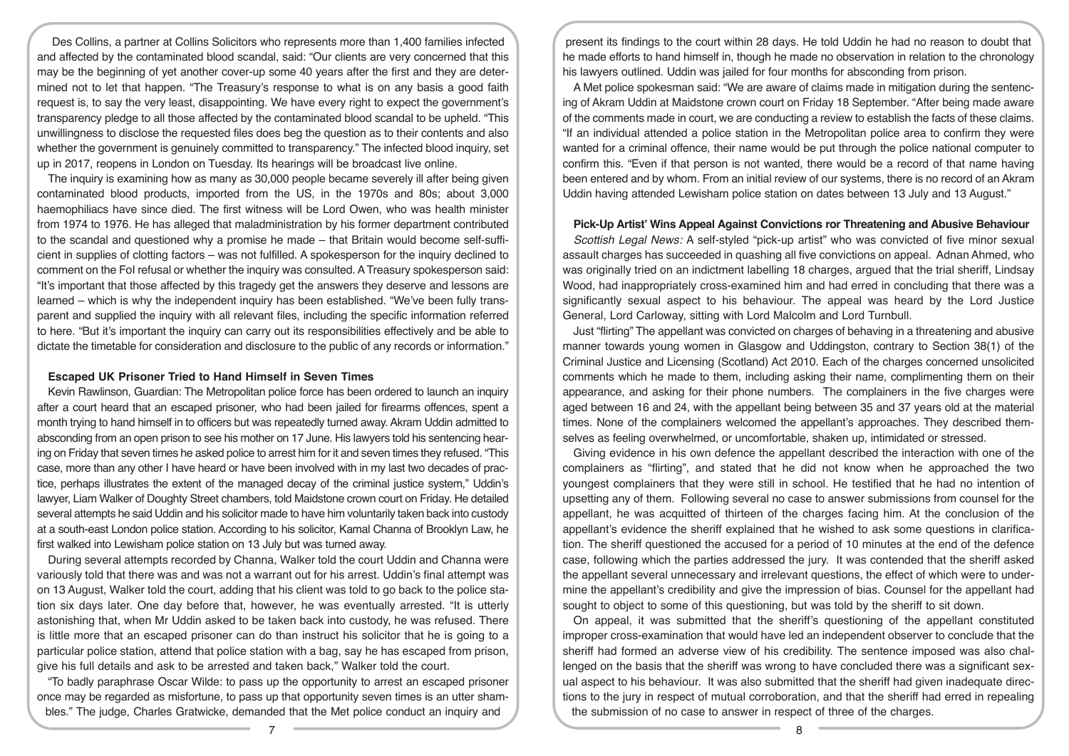Des Collins, a partner at Collins Solicitors who represents more than 1,400 families infected and affected by the contaminated blood scandal, said: "Our clients are very concerned that this may be the beginning of yet another cover-up some 40 years after the first and they are determined not to let that happen. "The Treasury's response to what is on any basis a good faith request is, to say the very least, disappointing. We have every right to expect the government's transparency pledge to all those affected by the contaminated blood scandal to be upheld. "This unwillingness to disclose the requested files does beg the question as to their contents and also whether the government is genuinely committed to transparency." The infected blood inquiry, set up in 2017, reopens in London on Tuesday. Its hearings will be broadcast live online.

The inquiry is examining how as many as 30,000 people became severely ill after being given contaminated blood products, imported from the US, in the 1970s and 80s; about 3,000 haemophiliacs have since died. The first witness will be Lord Owen, who was health minister from 1974 to 1976. He has alleged that maladministration by his former department contributed to the scandal and questioned why a promise he made – that Britain would become self-sufficient in supplies of clotting factors – was not fulfilled. A spokesperson for the inquiry declined to comment on the FoI refusal or whether the inquiry was consulted. A Treasury spokesperson said: "It's important that those affected by this tragedy get the answers they deserve and lessons are learned – which is why the independent inquiry has been established. "We've been fully transparent and supplied the inquiry with all relevant files, including the specific information referred to here. "But it's important the inquiry can carry out its responsibilities effectively and be able to dictate the timetable for consideration and disclosure to the public of any records or information."

### **Escaped UK Prisoner Tried to Hand Himself in Seven Times**

Kevin Rawlinson, Guardian: The Metropolitan police force has been ordered to launch an inquiry after a court heard that an escaped prisoner, who had been jailed for firearms offences, spent a month trying to hand himself in to officers but was repeatedly turned away. Akram Uddin admitted to absconding from an open prison to see his mother on 17 June. His lawyers told his sentencing hearing on Friday that seven times he asked police to arrest him for it and seven times they refused. "This case, more than any other I have heard or have been involved with in my last two decades of practice, perhaps illustrates the extent of the managed decay of the criminal justice system," Uddin's lawyer, Liam Walker of Doughty Street chambers, told Maidstone crown court on Friday. He detailed several attempts he said Uddin and his solicitor made to have him voluntarily taken back into custody at a south-east London police station. According to his solicitor, Kamal Channa of Brooklyn Law, he first walked into Lewisham police station on 13 July but was turned away.

During several attempts recorded by Channa, Walker told the court Uddin and Channa were variously told that there was and was not a warrant out for his arrest. Uddin's final attempt was on 13 August, Walker told the court, adding that his client was told to go back to the police station six days later. One day before that, however, he was eventually arrested. "It is utterly astonishing that, when Mr Uddin asked to be taken back into custody, he was refused. There is little more that an escaped prisoner can do than instruct his solicitor that he is going to a particular police station, attend that police station with a bag, say he has escaped from prison, give his full details and ask to be arrested and taken back," Walker told the court.

"To badly paraphrase Oscar Wilde: to pass up the opportunity to arrest an escaped prisoner once may be regarded as misfortune, to pass up that opportunity seven times is an utter shambles." The judge, Charles Gratwicke, demanded that the Met police conduct an inquiry and

present its findings to the court within 28 days. He told Uddin he had no reason to doubt that he made efforts to hand himself in, though he made no observation in relation to the chronology his lawyers outlined. Uddin was jailed for four months for absconding from prison.

A Met police spokesman said: "We are aware of claims made in mitigation during the sentencing of Akram Uddin at Maidstone crown court on Friday 18 September. "After being made aware of the comments made in court, we are conducting a review to establish the facts of these claims. "If an individual attended a police station in the Metropolitan police area to confirm they were wanted for a criminal offence, their name would be put through the police national computer to confirm this. "Even if that person is not wanted, there would be a record of that name having been entered and by whom. From an initial review of our systems, there is no record of an Akram Uddin having attended Lewisham police station on dates between 13 July and 13 August."

### **Pick-Up Artist' Wins Appeal Against Convictions ror Threatening and Abusive Behaviour**

*Scottish Legal News:* A self-styled "pick-up artist" who was convicted of five minor sexual assault charges has succeeded in quashing all five convictions on appeal. Adnan Ahmed, who was originally tried on an indictment labelling 18 charges, argued that the trial sheriff, Lindsay Wood, had inappropriately cross-examined him and had erred in concluding that there was a significantly sexual aspect to his behaviour. The appeal was heard by the Lord Justice General, Lord Carloway, sitting with Lord Malcolm and Lord Turnbull.

Just "flirting" The appellant was convicted on charges of behaving in a threatening and abusive manner towards young women in Glasgow and Uddingston, contrary to Section 38(1) of the Criminal Justice and Licensing (Scotland) Act 2010. Each of the charges concerned unsolicited comments which he made to them, including asking their name, complimenting them on their appearance, and asking for their phone numbers. The complainers in the five charges were aged between 16 and 24, with the appellant being between 35 and 37 years old at the material times. None of the complainers welcomed the appellant's approaches. They described themselves as feeling overwhelmed, or uncomfortable, shaken up, intimidated or stressed.

Giving evidence in his own defence the appellant described the interaction with one of the complainers as "flirting", and stated that he did not know when he approached the two youngest complainers that they were still in school. He testified that he had no intention of upsetting any of them. Following several no case to answer submissions from counsel for the appellant, he was acquitted of thirteen of the charges facing him. At the conclusion of the appellant's evidence the sheriff explained that he wished to ask some questions in clarification. The sheriff questioned the accused for a period of 10 minutes at the end of the defence case, following which the parties addressed the jury. It was contended that the sheriff asked the appellant several unnecessary and irrelevant questions, the effect of which were to undermine the appellant's credibility and give the impression of bias. Counsel for the appellant had sought to object to some of this questioning, but was told by the sheriff to sit down.

On appeal, it was submitted that the sheriff's questioning of the appellant constituted improper cross-examination that would have led an independent observer to conclude that the sheriff had formed an adverse view of his credibility. The sentence imposed was also challenged on the basis that the sheriff was wrong to have concluded there was a significant sexual aspect to his behaviour. It was also submitted that the sheriff had given inadequate directions to the jury in respect of mutual corroboration, and that the sheriff had erred in repealing the submission of no case to answer in respect of three of the charges.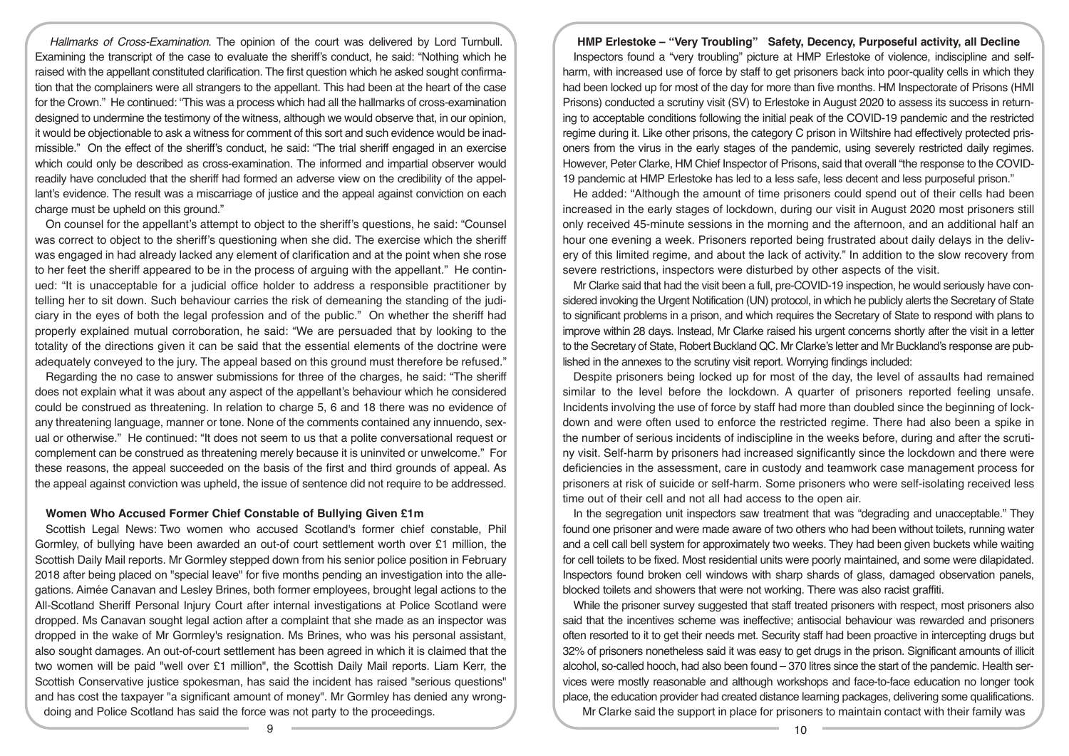*Hallmarks of Cross-Examination*. The opinion of the court was delivered by Lord Turnbull. Examining the transcript of the case to evaluate the sheriff's conduct, he said: "Nothing which he raised with the appellant constituted clarification. The first question which he asked sought confirmation that the complainers were all strangers to the appellant. This had been at the heart of the case for the Crown." He continued: "This was a process which had all the hallmarks of cross-examination designed to undermine the testimony of the witness, although we would observe that, in our opinion, it would be objectionable to ask a witness for comment of this sort and such evidence would be inadmissible." On the effect of the sheriff's conduct, he said: "The trial sheriff engaged in an exercise which could only be described as cross-examination. The informed and impartial observer would readily have concluded that the sheriff had formed an adverse view on the credibility of the appellant's evidence. The result was a miscarriage of justice and the appeal against conviction on each charge must be upheld on this ground."

On counsel for the appellant's attempt to object to the sheriff's questions, he said: "Counsel was correct to object to the sheriff's questioning when she did. The exercise which the sheriff was engaged in had already lacked any element of clarification and at the point when she rose to her feet the sheriff appeared to be in the process of arguing with the appellant." He continued: "It is unacceptable for a judicial office holder to address a responsible practitioner by telling her to sit down. Such behaviour carries the risk of demeaning the standing of the judiciary in the eyes of both the legal profession and of the public." On whether the sheriff had properly explained mutual corroboration, he said: "We are persuaded that by looking to the totality of the directions given it can be said that the essential elements of the doctrine were adequately conveyed to the jury. The appeal based on this ground must therefore be refused."

Regarding the no case to answer submissions for three of the charges, he said: "The sheriff does not explain what it was about any aspect of the appellant's behaviour which he considered could be construed as threatening. In relation to charge 5, 6 and 18 there was no evidence of any threatening language, manner or tone. None of the comments contained any innuendo, sexual or otherwise." He continued: "It does not seem to us that a polite conversational request or complement can be construed as threatening merely because it is uninvited or unwelcome." For these reasons, the appeal succeeded on the basis of the first and third grounds of appeal. As the appeal against conviction was upheld, the issue of sentence did not require to be addressed.

# **Women Who Accused Former Chief Constable of Bullying Given £1m**

Scottish Legal News: Two women who accused Scotland's former chief constable, Phil Gormley, of bullying have been awarded an out-of court settlement worth over £1 million, the Scottish Daily Mail reports. Mr Gormley stepped down from his senior police position in February 2018 after being placed on "special leave" for five months pending an investigation into the allegations. Aimée Canavan and Lesley Brines, both former employees, brought legal actions to the All-Scotland Sheriff Personal Injury Court after internal investigations at Police Scotland were dropped. Ms Canavan sought legal action after a complaint that she made as an inspector was dropped in the wake of Mr Gormley's resignation. Ms Brines, who was his personal assistant, also sought damages. An out-of-court settlement has been agreed in which it is claimed that the two women will be paid "well over £1 million", the Scottish Daily Mail reports. Liam Kerr, the Scottish Conservative justice spokesman, has said the incident has raised "serious questions" and has cost the taxpayer "a significant amount of money". Mr Gormley has denied any wrongdoing and Police Scotland has said the force was not party to the proceedings.

**HMP Erlestoke – "Very Troubling" Safety, Decency, Purposeful activity, all Decline**  Inspectors found a "very troubling" picture at HMP Erlestoke of violence, indiscipline and selfharm, with increased use of force by staff to get prisoners back into poor-quality cells in which they had been locked up for most of the day for more than five months. HM Inspectorate of Prisons (HMI Prisons) conducted a scrutiny visit (SV) to Erlestoke in August 2020 to assess its success in returning to acceptable conditions following the initial peak of the COVID-19 pandemic and the restricted regime during it. Like other prisons, the category C prison in Wiltshire had effectively protected prisoners from the virus in the early stages of the pandemic, using severely restricted daily regimes. However, Peter Clarke, HM Chief Inspector of Prisons, said that overall "the response to the COVID-19 pandemic at HMP Erlestoke has led to a less safe, less decent and less purposeful prison."

He added: "Although the amount of time prisoners could spend out of their cells had been increased in the early stages of lockdown, during our visit in August 2020 most prisoners still only received 45-minute sessions in the morning and the afternoon, and an additional half an hour one evening a week. Prisoners reported being frustrated about daily delays in the delivery of this limited regime, and about the lack of activity." In addition to the slow recovery from severe restrictions, inspectors were disturbed by other aspects of the visit.

Mr Clarke said that had the visit been a full, pre-COVID-19 inspection, he would seriously have considered invoking the Urgent Notification (UN) protocol, in which he publicly alerts the Secretary of State to significant problems in a prison, and which requires the Secretary of State to respond with plans to improve within 28 days. Instead, Mr Clarke raised his urgent concerns shortly after the visit in a letter to the Secretary of State, Robert Buckland QC. Mr Clarke's letter and Mr Buckland's response are published in the annexes to the scrutiny visit report. Worrying findings included:

Despite prisoners being locked up for most of the day, the level of assaults had remained similar to the level before the lockdown. A quarter of prisoners reported feeling unsafe. Incidents involving the use of force by staff had more than doubled since the beginning of lockdown and were often used to enforce the restricted regime. There had also been a spike in the number of serious incidents of indiscipline in the weeks before, during and after the scrutiny visit. Self-harm by prisoners had increased significantly since the lockdown and there were deficiencies in the assessment, care in custody and teamwork case management process for prisoners at risk of suicide or self-harm. Some prisoners who were self-isolating received less time out of their cell and not all had access to the open air.

In the segregation unit inspectors saw treatment that was "degrading and unacceptable." They found one prisoner and were made aware of two others who had been without toilets, running water and a cell call bell system for approximately two weeks. They had been given buckets while waiting for cell toilets to be fixed. Most residential units were poorly maintained, and some were dilapidated. Inspectors found broken cell windows with sharp shards of glass, damaged observation panels, blocked toilets and showers that were not working. There was also racist graffiti.

While the prisoner survey suggested that staff treated prisoners with respect, most prisoners also said that the incentives scheme was ineffective; antisocial behaviour was rewarded and prisoners often resorted to it to get their needs met. Security staff had been proactive in intercepting drugs but 32% of prisoners nonetheless said it was easy to get drugs in the prison. Significant amounts of illicit alcohol, so-called hooch, had also been found – 370 litres since the start of the pandemic. Health services were mostly reasonable and although workshops and face-to-face education no longer took place, the education provider had created distance learning packages, delivering some qualifications. Mr Clarke said the support in place for prisoners to maintain contact with their family was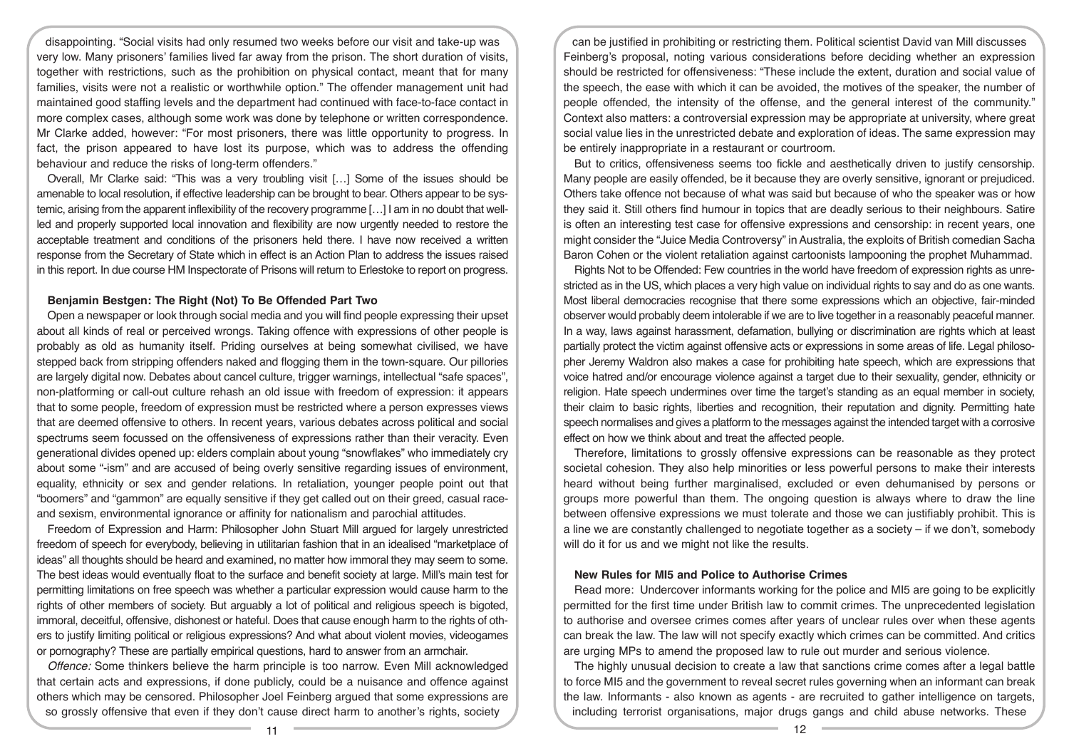disappointing. "Social visits had only resumed two weeks before our visit and take-up was very low. Many prisoners' families lived far away from the prison. The short duration of visits, together with restrictions, such as the prohibition on physical contact, meant that for many families, visits were not a realistic or worthwhile option." The offender management unit had maintained good staffing levels and the department had continued with face-to-face contact in more complex cases, although some work was done by telephone or written correspondence. Mr Clarke added, however: "For most prisoners, there was little opportunity to progress. In fact, the prison appeared to have lost its purpose, which was to address the offending behaviour and reduce the risks of long-term offenders."

Overall, Mr Clarke said: "This was a very troubling visit […] Some of the issues should be amenable to local resolution, if effective leadership can be brought to bear. Others appear to be systemic, arising from the apparent inflexibility of the recovery programme […] I am in no doubt that wellled and properly supported local innovation and flexibility are now urgently needed to restore the acceptable treatment and conditions of the prisoners held there. I have now received a written response from the Secretary of State which in effect is an Action Plan to address the issues raised in this report. In due course HM Inspectorate of Prisons will return to Erlestoke to report on progress.

### **Benjamin Bestgen: The Right (Not) To Be Offended Part Two**

Open a newspaper or look through social media and you will find people expressing their upset about all kinds of real or perceived wrongs. Taking offence with expressions of other people is probably as old as humanity itself. Priding ourselves at being somewhat civilised, we have stepped back from stripping offenders naked and flogging them in the town-square. Our pillories are largely digital now. Debates about cancel culture, trigger warnings, intellectual "safe spaces", non-platforming or call-out culture rehash an old issue with freedom of expression: it appears that to some people, freedom of expression must be restricted where a person expresses views that are deemed offensive to others. In recent years, various debates across political and social spectrums seem focussed on the offensiveness of expressions rather than their veracity. Even generational divides opened up: elders complain about young "snowflakes" who immediately cry about some "-ism" and are accused of being overly sensitive regarding issues of environment, equality, ethnicity or sex and gender relations. In retaliation, younger people point out that "boomers" and "gammon" are equally sensitive if they get called out on their greed, casual raceand sexism, environmental ignorance or affinity for nationalism and parochial attitudes.

Freedom of Expression and Harm: Philosopher John Stuart Mill argued for largely unrestricted freedom of speech for everybody, believing in utilitarian fashion that in an idealised "marketplace of ideas" all thoughts should be heard and examined, no matter how immoral they may seem to some. The best ideas would eventually float to the surface and benefit society at large. Mill's main test for permitting limitations on free speech was whether a particular expression would cause harm to the rights of other members of society. But arguably a lot of political and religious speech is bigoted, immoral, deceitful, offensive, dishonest or hateful. Does that cause enough harm to the rights of others to justify limiting political or religious expressions? And what about violent movies, videogames or pornography? These are partially empirical questions, hard to answer from an armchair.

*Offence:* Some thinkers believe the harm principle is too narrow. Even Mill acknowledged that certain acts and expressions, if done publicly, could be a nuisance and offence against others which may be censored. Philosopher Joel Feinberg argued that some expressions are so grossly offensive that even if they don't cause direct harm to another's rights, society

can be justified in prohibiting or restricting them. Political scientist David van Mill discusses Feinberg's proposal, noting various considerations before deciding whether an expression should be restricted for offensiveness: "These include the extent, duration and social value of the speech, the ease with which it can be avoided, the motives of the speaker, the number of people offended, the intensity of the offense, and the general interest of the community." Context also matters: a controversial expression may be appropriate at university, where great social value lies in the unrestricted debate and exploration of ideas. The same expression may be entirely inappropriate in a restaurant or courtroom.

But to critics, offensiveness seems too fickle and aesthetically driven to justify censorship. Many people are easily offended, be it because they are overly sensitive, ignorant or prejudiced. Others take offence not because of what was said but because of who the speaker was or how they said it. Still others find humour in topics that are deadly serious to their neighbours. Satire is often an interesting test case for offensive expressions and censorship: in recent years, one might consider the "Juice Media Controversy" in Australia, the exploits of British comedian Sacha Baron Cohen or the violent retaliation against cartoonists lampooning the prophet Muhammad.

Rights Not to be Offended: Few countries in the world have freedom of expression rights as unrestricted as in the US, which places a very high value on individual rights to say and do as one wants. Most liberal democracies recognise that there some expressions which an objective, fair-minded observer would probably deem intolerable if we are to live together in a reasonably peaceful manner. In a way, laws against harassment, defamation, bullying or discrimination are rights which at least partially protect the victim against offensive acts or expressions in some areas of life. Legal philosopher Jeremy Waldron also makes a case for prohibiting hate speech, which are expressions that voice hatred and/or encourage violence against a target due to their sexuality, gender, ethnicity or religion. Hate speech undermines over time the target's standing as an equal member in society, their claim to basic rights, liberties and recognition, their reputation and dignity. Permitting hate speech normalises and gives a platform to the messages against the intended target with a corrosive effect on how we think about and treat the affected people.

Therefore, limitations to grossly offensive expressions can be reasonable as they protect societal cohesion. They also help minorities or less powerful persons to make their interests heard without being further marginalised, excluded or even dehumanised by persons or groups more powerful than them. The ongoing question is always where to draw the line between offensive expressions we must tolerate and those we can justifiably prohibit. This is a line we are constantly challenged to negotiate together as a society – if we don't, somebody will do it for us and we might not like the results.

### **New Rules for MI5 and Police to Authorise Crimes**

Read more: Undercover informants working for the police and MI5 are going to be explicitly permitted for the first time under British law to commit crimes. The unprecedented legislation to authorise and oversee crimes comes after years of unclear rules over when these agents can break the law. The law will not specify exactly which crimes can be committed. And critics are urging MPs to amend the proposed law to rule out murder and serious violence.

The highly unusual decision to create a law that sanctions crime comes after a legal battle to force MI5 and the government to reveal secret rules governing when an informant can break the law. Informants - also known as agents - are recruited to gather intelligence on targets, including terrorist organisations, major drugs gangs and child abuse networks. These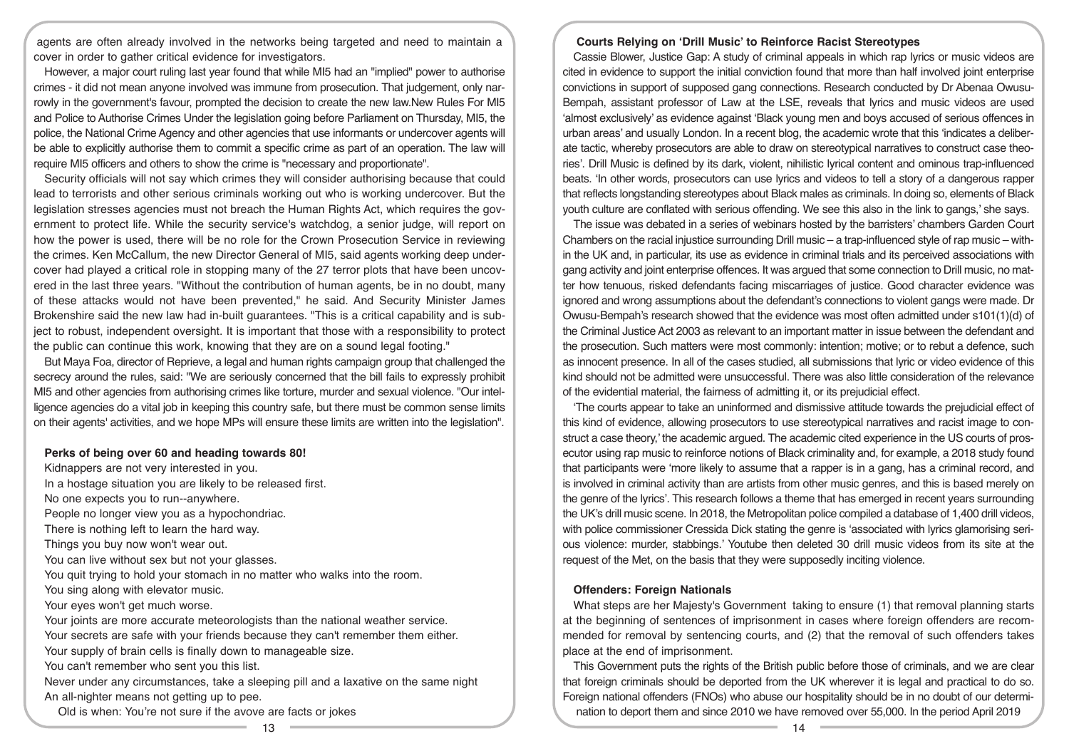agents are often already involved in the networks being targeted and need to maintain a cover in order to gather critical evidence for investigators.

However, a major court ruling last year found that while MI5 had an "implied" power to authorise crimes - it did not mean anyone involved was immune from prosecution. That judgement, only narrowly in the government's favour, prompted the decision to create the new law.New Rules For MI5 and Police to Authorise Crimes Under the legislation going before Parliament on Thursday, MI5, the police, the National Crime Agency and other agencies that use informants or undercover agents will be able to explicitly authorise them to commit a specific crime as part of an operation. The law will require MI5 officers and others to show the crime is "necessary and proportionate".

Security officials will not say which crimes they will consider authorising because that could lead to terrorists and other serious criminals working out who is working undercover. But the legislation stresses agencies must not breach the Human Rights Act, which requires the government to protect life. While the security service's watchdog, a senior judge, will report on how the power is used, there will be no role for the Crown Prosecution Service in reviewing the crimes. Ken McCallum, the new Director General of MI5, said agents working deep undercover had played a critical role in stopping many of the 27 terror plots that have been uncovered in the last three years. "Without the contribution of human agents, be in no doubt, many of these attacks would not have been prevented," he said. And Security Minister James Brokenshire said the new law had in-built guarantees. "This is a critical capability and is subject to robust, independent oversight. It is important that those with a responsibility to protect the public can continue this work, knowing that they are on a sound legal footing."

But Maya Foa, director of Reprieve, a legal and human rights campaign group that challenged the secrecy around the rules, said: "We are seriously concerned that the bill fails to expressly prohibit MI5 and other agencies from authorising crimes like torture, murder and sexual violence. "Our intelligence agencies do a vital job in keeping this country safe, but there must be common sense limits on their agents' activities, and we hope MPs will ensure these limits are written into the legislation".

### **Perks of being over 60 and heading towards 80!**

Kidnappers are not very interested in you. In a hostage situation you are likely to be released first. No one expects you to run--anywhere. People no longer view you as a hypochondriac. There is nothing left to learn the hard way. Things you buy now won't wear out. You can live without sex but not your glasses. You quit trying to hold your stomach in no matter who walks into the room. You sing along with elevator music. Your eyes won't get much worse. Your joints are more accurate meteorologists than the national weather service. Your secrets are safe with your friends because they can't remember them either. Your supply of brain cells is finally down to manageable size. You can't remember who sent you this list. Never under any circumstances, take a sleeping pill and a laxative on the same night An all-nighter means not getting up to pee.

Old is when: You're not sure if the avove are facts or jokes

# **Courts Relying on 'Drill Music' to Reinforce Racist Stereotypes**

Cassie Blower, Justice Gap: A study of criminal appeals in which rap lyrics or music videos are cited in evidence to support the initial conviction found that more than half involved joint enterprise convictions in support of supposed gang connections. Research conducted by Dr Abenaa Owusu-Bempah, assistant professor of Law at the LSE, reveals that lyrics and music videos are used 'almost exclusively' as evidence against 'Black young men and boys accused of serious offences in urban areas' and usually London. In a recent blog, the academic wrote that this 'indicates a deliberate tactic, whereby prosecutors are able to draw on stereotypical narratives to construct case theories'. Drill Music is defined by its dark, violent, nihilistic lyrical content and ominous trap-influenced beats. 'In other words, prosecutors can use lyrics and videos to tell a story of a dangerous rapper that reflects longstanding stereotypes about Black males as criminals. In doing so, elements of Black youth culture are conflated with serious offending. We see this also in the link to gangs,' she says.

The issue was debated in a series of webinars hosted by the barristers' chambers Garden Court Chambers on the racial injustice surrounding Drill music – a trap-influenced style of rap music – within the UK and, in particular, its use as evidence in criminal trials and its perceived associations with gang activity and joint enterprise offences. It was argued that some connection to Drill music, no matter how tenuous, risked defendants facing miscarriages of justice. Good character evidence was ignored and wrong assumptions about the defendant's connections to violent gangs were made. Dr Owusu-Bempah's research showed that the evidence was most often admitted under s101(1)(d) of the Criminal Justice Act 2003 as relevant to an important matter in issue between the defendant and the prosecution. Such matters were most commonly: intention; motive; or to rebut a defence, such as innocent presence. In all of the cases studied, all submissions that lyric or video evidence of this kind should not be admitted were unsuccessful. There was also little consideration of the relevance of the evidential material, the fairness of admitting it, or its prejudicial effect.

'The courts appear to take an uninformed and dismissive attitude towards the prejudicial effect of this kind of evidence, allowing prosecutors to use stereotypical narratives and racist image to construct a case theory,' the academic argued. The academic cited experience in the US courts of prosecutor using rap music to reinforce notions of Black criminality and, for example, a 2018 study found that participants were 'more likely to assume that a rapper is in a gang, has a criminal record, and is involved in criminal activity than are artists from other music genres, and this is based merely on the genre of the lyrics'. This research follows a theme that has emerged in recent years surrounding the UK's drill music scene. In 2018, the Metropolitan police compiled a database of 1,400 drill videos, with police commissioner Cressida Dick stating the genre is 'associated with lyrics glamorising serious violence: murder, stabbings.' Youtube then deleted 30 drill music videos from its site at the request of the Met, on the basis that they were supposedly inciting violence.

# **Offenders: Foreign Nationals**

What steps are her Majesty's Government taking to ensure (1) that removal planning starts at the beginning of sentences of imprisonment in cases where foreign offenders are recommended for removal by sentencing courts, and (2) that the removal of such offenders takes place at the end of imprisonment.

This Government puts the rights of the British public before those of criminals, and we are clear that foreign criminals should be deported from the UK wherever it is legal and practical to do so. Foreign national offenders (FNOs) who abuse our hospitality should be in no doubt of our determination to deport them and since 2010 we have removed over 55,000. In the period April 2019

13 14